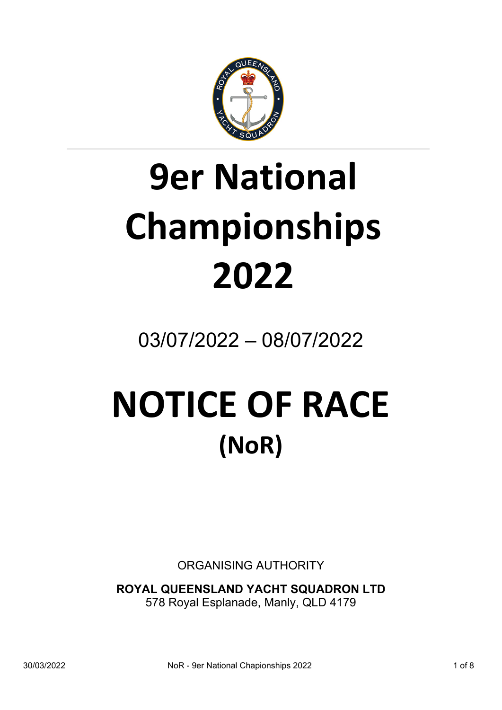

# **9er National Championships 2022**

03/07/2022 – 08/07/2022

## **NOTICE OF RACE (NoR)**

ORGANISING AUTHORITY

**ROYAL QUEENSLAND YACHT SQUADRON LTD**  578 Royal Esplanade, Manly, QLD 4179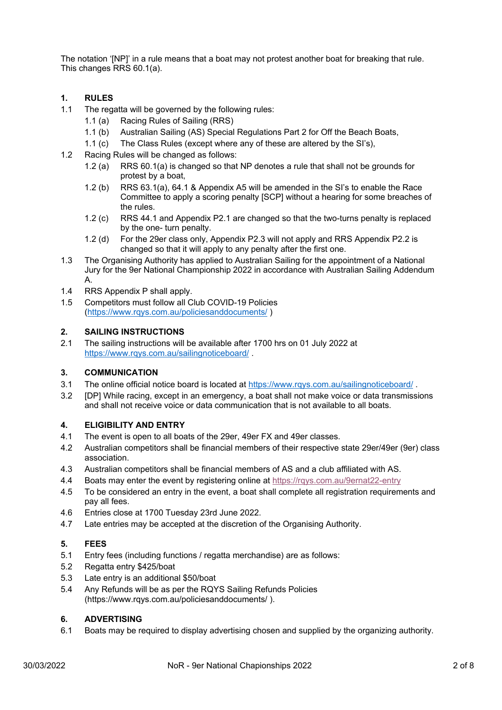The notation '[NP]' in a rule means that a boat may not protest another boat for breaking that rule. This changes RRS 60.1(a).

#### **1. RULES**

- 1.1 The regatta will be governed by the following rules:
	- 1.1 (a) Racing Rules of Sailing (RRS)
	- 1.1 (b) Australian Sailing (AS) Special Regulations Part 2 for Off the Beach Boats,
	- 1.1 (c) The Class Rules (except where any of these are altered by the SI's),
- 1.2 Racing Rules will be changed as follows:
	- 1.2 (a) RRS 60.1(a) is changed so that NP denotes a rule that shall not be grounds for protest by a boat,
	- 1.2 (b) RRS 63.1(a), 64.1 & Appendix A5 will be amended in the SI's to enable the Race Committee to apply a scoring penalty [SCP] without a hearing for some breaches of the rules.
	- 1.2 (c) RRS 44.1 and Appendix P2.1 are changed so that the two-turns penalty is replaced by the one- turn penalty.
	- 1.2 (d) For the 29er class only, Appendix P2.3 will not apply and RRS Appendix P2.2 is changed so that it will apply to any penalty after the first one.
- 1.3 The Organising Authority has applied to Australian Sailing for the appointment of a National Jury for the 9er National Championship 2022 in accordance with Australian Sailing Addendum A.
- 1.4 RRS Appendix P shall apply.
- 1.5 Competitors must follow all Club COVID-19 Policies (https://www.rqys.com.au/policiesanddocuments/ )

#### **2. SAILING INSTRUCTIONS**

2.1 The sailing instructions will be available after 1700 hrs on 01 July 2022 at https://www.rqys.com.au/sailingnoticeboard/ .

#### **3. COMMUNICATION**

- 3.1 The online official notice board is located at https://www.rqys.com.au/sailingnoticeboard/ .
- 3.2 [DP] While racing, except in an emergency, a boat shall not make voice or data transmissions and shall not receive voice or data communication that is not available to all boats.

#### **4. ELIGIBILITY AND ENTRY**

- 4.1 The event is open to all boats of the 29er, 49er FX and 49er classes.
- 4.2 Australian competitors shall be financial members of their respective state 29er/49er (9er) class association.
- 4.3 Australian competitors shall be financial members of AS and a club affiliated with AS.
- 4.4 Boats may enter the event by registering online at https://rqys.com.au/9ernat22-entry
- 4.5 To be considered an entry in the event, a boat shall complete all registration requirements and pay all fees.
- 4.6 Entries close at 1700 Tuesday 23rd June 2022.
- 4.7 Late entries may be accepted at the discretion of the Organising Authority.

#### **5. FEES**

- 5.1 Entry fees (including functions / regatta merchandise) are as follows:
- 5.2 Regatta entry \$425/boat
- 5.3 Late entry is an additional \$50/boat
- 5.4 Any Refunds will be as per the RQYS Sailing Refunds Policies (https://www.rqys.com.au/policiesanddocuments/ ).

#### **6. ADVERTISING**

6.1 Boats may be required to display advertising chosen and supplied by the organizing authority.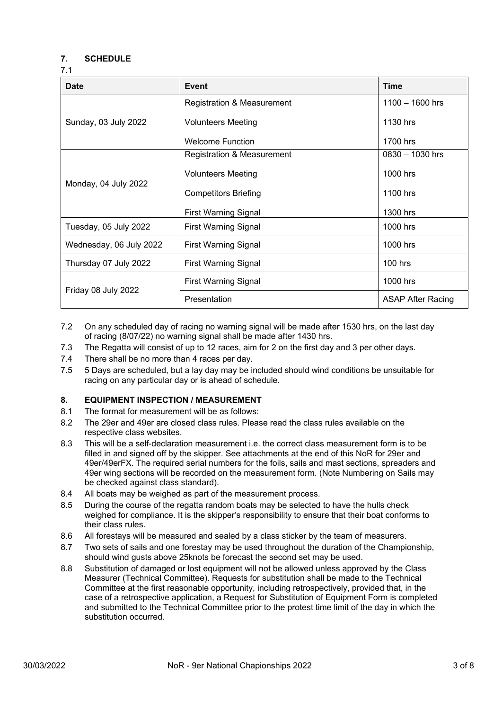#### **7. SCHEDULE**

7.1

| <b>Date</b>             | Event                                 | <b>Time</b>              |
|-------------------------|---------------------------------------|--------------------------|
| Sunday, 03 July 2022    | <b>Registration &amp; Measurement</b> | $1100 - 1600$ hrs        |
|                         | <b>Volunteers Meeting</b>             | 1130 hrs                 |
|                         | <b>Welcome Function</b>               | 1700 hrs                 |
| Monday, 04 July 2022    | <b>Registration &amp; Measurement</b> | $0830 - 1030$ hrs        |
|                         | <b>Volunteers Meeting</b>             | 1000 hrs                 |
|                         | <b>Competitors Briefing</b>           | 1100 hrs                 |
|                         | <b>First Warning Signal</b>           | 1300 hrs                 |
| Tuesday, 05 July 2022   | <b>First Warning Signal</b>           | 1000 hrs                 |
| Wednesday, 06 July 2022 | <b>First Warning Signal</b>           | 1000 hrs                 |
| Thursday 07 July 2022   | <b>First Warning Signal</b>           | $100$ hrs                |
| Friday 08 July 2022     | <b>First Warning Signal</b>           | 1000 hrs                 |
|                         | Presentation                          | <b>ASAP After Racing</b> |

- 7.2 On any scheduled day of racing no warning signal will be made after 1530 hrs, on the last day of racing (8/07/22) no warning signal shall be made after 1430 hrs.
- 7.3 The Regatta will consist of up to 12 races, aim for 2 on the first day and 3 per other days.
- 7.4 There shall be no more than 4 races per day.
- 7.5 5 Days are scheduled, but a lay day may be included should wind conditions be unsuitable for racing on any particular day or is ahead of schedule.

#### **8. EQUIPMENT INSPECTION / MEASUREMENT**

- 8.1 The format for measurement will be as follows:
- 8.2 The 29er and 49er are closed class rules. Please read the class rules available on the respective class websites.
- 8.3 This will be a self-declaration measurement i.e. the correct class measurement form is to be filled in and signed off by the skipper. See attachments at the end of this NoR for 29er and 49er/49erFX. The required serial numbers for the foils, sails and mast sections, spreaders and 49er wing sections will be recorded on the measurement form. (Note Numbering on Sails may be checked against class standard).
- 8.4 All boats may be weighed as part of the measurement process.
- 8.5 During the course of the regatta random boats may be selected to have the hulls check weighed for compliance. It is the skipper's responsibility to ensure that their boat conforms to their class rules.
- 8.6 All forestays will be measured and sealed by a class sticker by the team of measurers.
- 8.7 Two sets of sails and one forestay may be used throughout the duration of the Championship, should wind gusts above 25knots be forecast the second set may be used.
- 8.8 Substitution of damaged or lost equipment will not be allowed unless approved by the Class Measurer (Technical Committee). Requests for substitution shall be made to the Technical Committee at the first reasonable opportunity, including retrospectively, provided that, in the case of a retrospective application, a Request for Substitution of Equipment Form is completed and submitted to the Technical Committee prior to the protest time limit of the day in which the substitution occurred.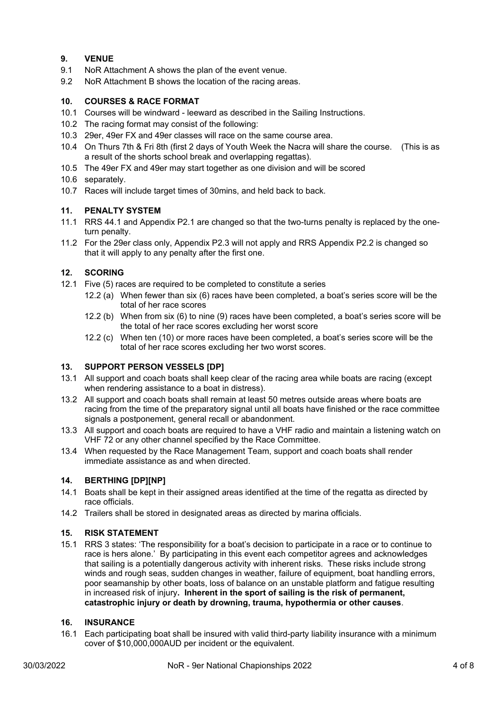#### **9. VENUE**

- 9.1 NoR Attachment A shows the plan of the event venue.
- 9.2 NoR Attachment B shows the location of the racing areas.

#### **10. COURSES & RACE FORMAT**

- 10.1 Courses will be windward leeward as described in the Sailing Instructions.
- 10.2 The racing format may consist of the following:
- 10.3 29er, 49er FX and 49er classes will race on the same course area.
- 10.4 On Thurs 7th & Fri 8th (first 2 days of Youth Week the Nacra will share the course. (This is as a result of the shorts school break and overlapping regattas).
- 10.5 The 49er FX and 49er may start together as one division and will be scored
- 10.6 separately.
- 10.7 Races will include target times of 30mins, and held back to back.

#### **11. PENALTY SYSTEM**

- 11.1 RRS 44.1 and Appendix P2.1 are changed so that the two-turns penalty is replaced by the oneturn penalty.
- 11.2 For the 29er class only, Appendix P2.3 will not apply and RRS Appendix P2.2 is changed so that it will apply to any penalty after the first one.

#### **12. SCORING**

- 12.1 Five (5) races are required to be completed to constitute a series
	- 12.2 (a) When fewer than six (6) races have been completed, a boat's series score will be the total of her race scores
	- 12.2 (b) When from six (6) to nine (9) races have been completed, a boat's series score will be the total of her race scores excluding her worst score
	- 12.2 (c) When ten (10) or more races have been completed, a boat's series score will be the total of her race scores excluding her two worst scores.

#### **13. SUPPORT PERSON VESSELS [DP]**

- 13.1 All support and coach boats shall keep clear of the racing area while boats are racing (except when rendering assistance to a boat in distress).
- 13.2 All support and coach boats shall remain at least 50 metres outside areas where boats are racing from the time of the preparatory signal until all boats have finished or the race committee signals a postponement, general recall or abandonment.
- 13.3 All support and coach boats are required to have a VHF radio and maintain a listening watch on VHF 72 or any other channel specified by the Race Committee.
- 13.4 When requested by the Race Management Team, support and coach boats shall render immediate assistance as and when directed.

#### **14. BERTHING [DP][NP]**

- 14.1 Boats shall be kept in their assigned areas identified at the time of the regatta as directed by race officials.
- 14.2 Trailers shall be stored in designated areas as directed by marina officials.

#### **15. RISK STATEMENT**

15.1 RRS 3 states: 'The responsibility for a boat's decision to participate in a race or to continue to race is hers alone.' By participating in this event each competitor agrees and acknowledges that sailing is a potentially dangerous activity with inherent risks. These risks include strong winds and rough seas, sudden changes in weather, failure of equipment, boat handling errors, poor seamanship by other boats, loss of balance on an unstable platform and fatigue resulting in increased risk of injury**. Inherent in the sport of sailing is the risk of permanent, catastrophic injury or death by drowning, trauma, hypothermia or other causes**.

#### **16. INSURANCE**

16.1 Each participating boat shall be insured with valid third-party liability insurance with a minimum cover of \$10,000,000AUD per incident or the equivalent.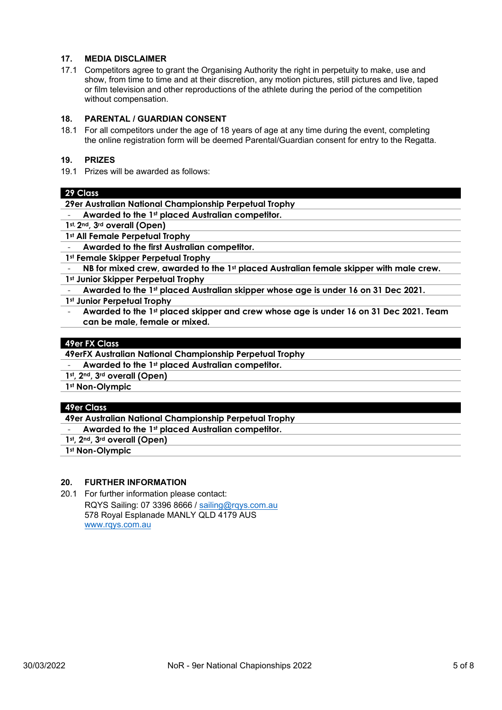#### **17. MEDIA DISCLAIMER**

17.1 Competitors agree to grant the Organising Authority the right in perpetuity to make, use and show, from time to time and at their discretion, any motion pictures, still pictures and live, taped or film television and other reproductions of the athlete during the period of the competition without compensation.

#### **18. PARENTAL / GUARDIAN CONSENT**

18.1 For all competitors under the age of 18 years of age at any time during the event, completing the online registration form will be deemed Parental/Guardian consent for entry to the Regatta.

#### **19. PRIZES**

19.1 Prizes will be awarded as follows:

#### **29 Class**

**29er Australian National Championship Perpetual Trophy** 

- **Awarded to the 1st placed Australian competitor.**
- **1st, 2nd, 3rd overall (Open)**
- **1st All Female Perpetual Trophy**
- **Awarded to the first Australian competitor.**
- **1st Female Skipper Perpetual Trophy**
- **NB for mixed crew, awarded to the 1st placed Australian female skipper with male crew.**
- **1st Junior Skipper Perpetual Trophy**
- **Awarded to the 1st placed Australian skipper whose age is under 16 on 31 Dec 2021.**
- **1st Junior Perpetual Trophy**
- **Awarded to the 1st placed skipper and crew whose age is under 16 on 31 Dec 2021. Team can be male, female or mixed.**

#### **49er FX Class**

- **49erFX Australian National Championship Perpetual Trophy**
- **Awarded to the 1st placed Australian competitor.**
- **1st, 2nd, 3rd overall (Open)**
- **1st Non-Olympic**

#### **49er Class**

**49er Australian National Championship Perpetual Trophy** 

- **Awarded to the 1st placed Australian competitor.**
- **1st, 2nd, 3rd overall (Open)**

**1st Non-Olympic** 

#### **20. FURTHER INFORMATION**

20.1 For further information please contact: RQYS Sailing: 07 3396 8666 / sailing@rqys.com.au 578 Royal Esplanade MANLY QLD 4179 AUS www.rqys.com.au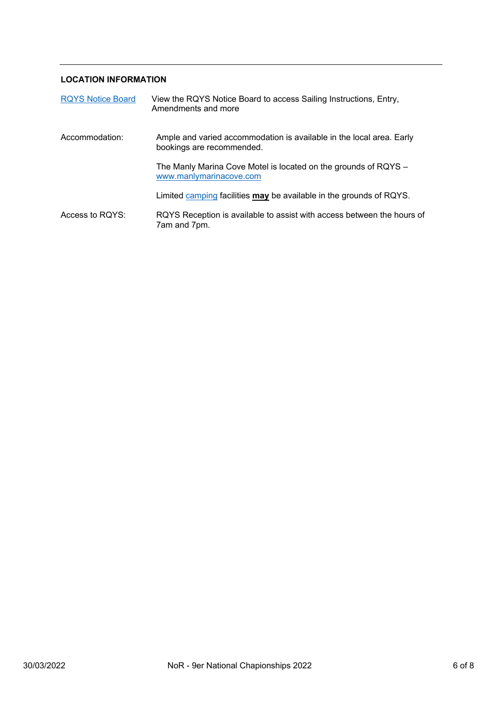#### **LOCATION INFORMATION**

| <b>RQYS Notice Board</b> | View the RQYS Notice Board to access Sailing Instructions, Entry,<br>Amendments and more          |  |
|--------------------------|---------------------------------------------------------------------------------------------------|--|
| Accommodation:           | Ample and varied accommodation is available in the local area. Early<br>bookings are recommended. |  |
|                          | The Manly Marina Cove Motel is located on the grounds of RQYS -<br>www.manlymarinacove.com        |  |
|                          | Limited camping facilities may be available in the grounds of RQYS.                               |  |
| Access to RQYS:          | RQYS Reception is available to assist with access between the hours of<br>7am and 7pm.            |  |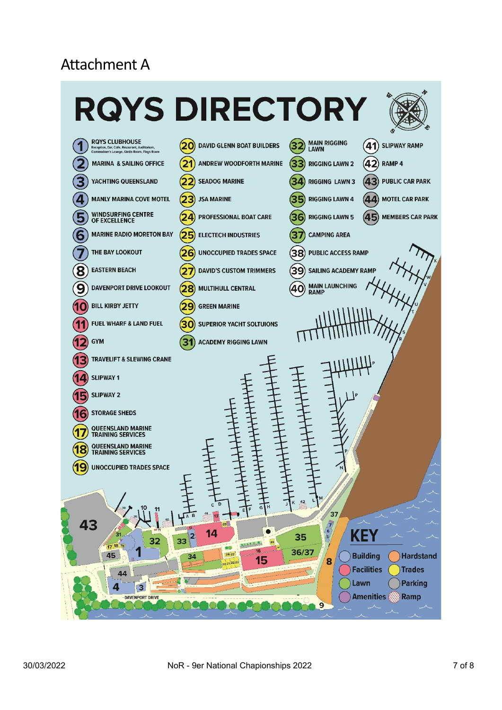## Attachment A